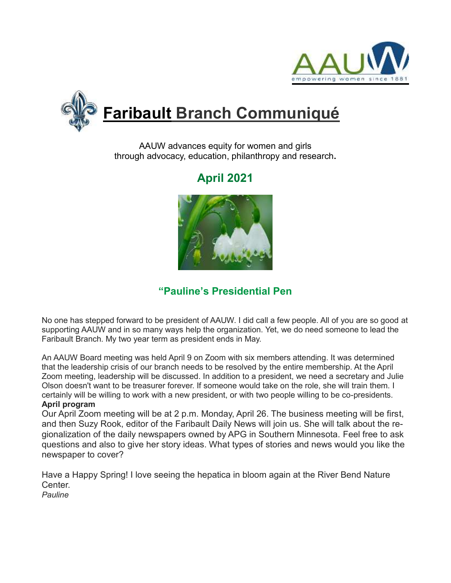



AAUW advances equity for women and girls through advocacy, education, philanthropy and research**.**

# **April 2021**



### **"Pauline's Presidential Pen**

No one has stepped forward to be president of AAUW. I did call a few people. All of you are so good at supporting AAUW and in so many ways help the organization. Yet, we do need someone to lead the Faribault Branch. My two year term as president ends in May.

An AAUW Board meeting was held April 9 on Zoom with six members attending. It was determined that the leadership crisis of our branch needs to be resolved by the entire membership. At the April Zoom meeting, leadership will be discussed. In addition to a president, we need a secretary and Julie Olson doesn't want to be treasurer forever. If someone would take on the role, she will train them. I certainly will be willing to work with a new president, or with two people willing to be co-presidents. **April program**

Our April Zoom meeting will be at 2 p.m. Monday, April 26. The business meeting will be first, and then Suzy Rook, editor of the Faribault Daily News will join us. She will talk about the regionalization of the daily newspapers owned by APG in Southern Minnesota. Feel free to ask questions and also to give her story ideas. What types of stories and news would you like the newspaper to cover?

Have a Happy Spring! I love seeing the hepatica in bloom again at the River Bend Nature Center. *Pauline*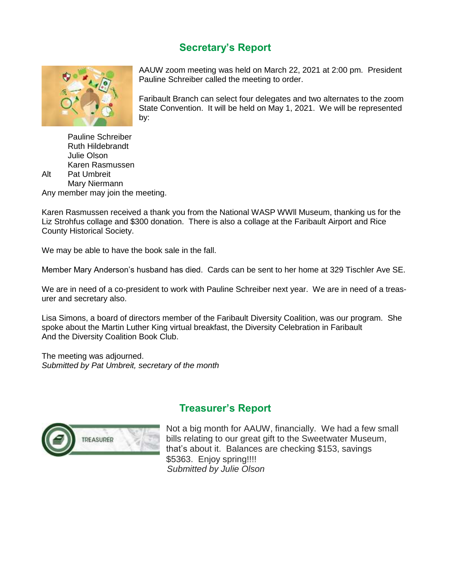### **Secretary's Report**



AAUW zoom meeting was held on March 22, 2021 at 2:00 pm. President Pauline Schreiber called the meeting to order.

Faribault Branch can select four delegates and two alternates to the zoom State Convention. It will be held on May 1, 2021. We will be represented by:

Pauline Schreiber Ruth Hildebrandt Julie Olson Karen Rasmussen Alt Pat Umbreit Mary Niermann Any member may join the meeting.

Karen Rasmussen received a thank you from the National WASP WWll Museum, thanking us for the Liz Strohfus collage and \$300 donation. There is also a collage at the Faribault Airport and Rice County Historical Society.

We may be able to have the book sale in the fall.

Member Mary Anderson's husband has died. Cards can be sent to her home at 329 Tischler Ave SE.

We are in need of a co-president to work with Pauline Schreiber next year. We are in need of a treasurer and secretary also.

Lisa Simons, a board of directors member of the Faribault Diversity Coalition, was our program. She spoke about the Martin Luther King virtual breakfast, the Diversity Celebration in Faribault And the Diversity Coalition Book Club.

The meeting was adjourned. *Submitted by Pat Umbreit, secretary of the month*



#### **Treasurer's Report**

Not a big month for AAUW, financially. We had a few small bills relating to our great gift to the Sweetwater Museum, that's about it. Balances are checking \$153, savings \$5363. Enjoy spring!!!! *Submitted by Julie Olson*